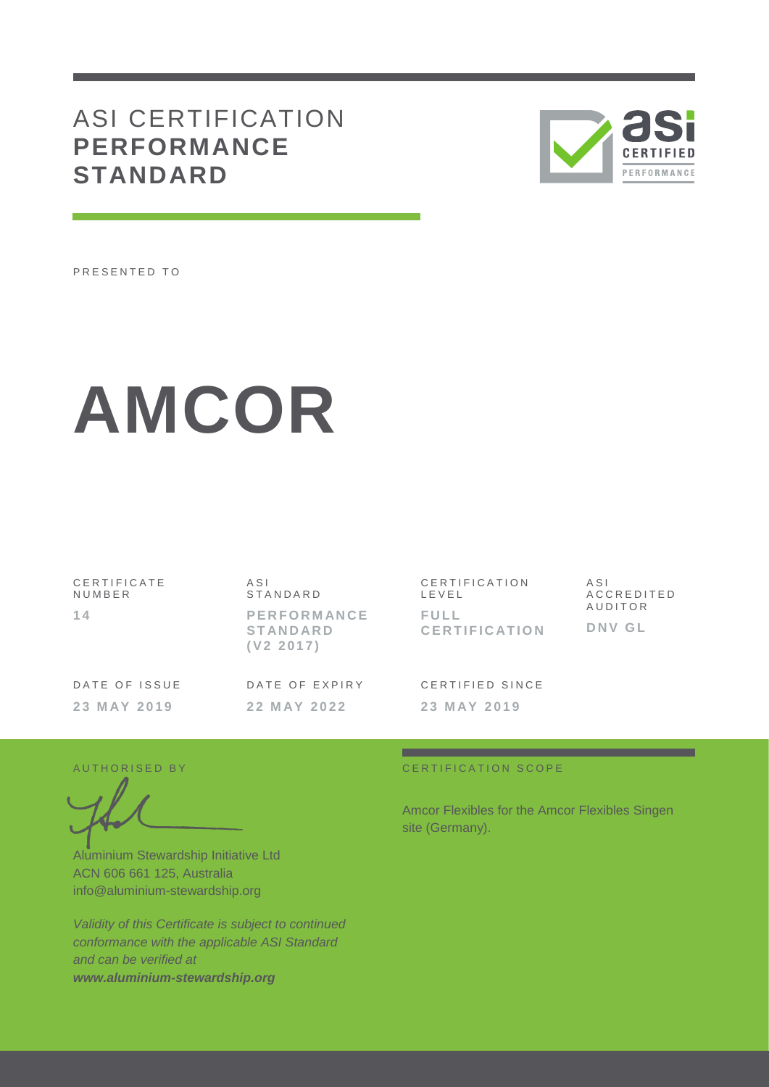## ASI CERTIFICATION **PERFORMANCE STANDARD**



PRESENTED TO

# **AMCOR**

| CERTIFICATE<br>NUMBER | ASI<br>STANDARD                                    | CERTIFICATION<br>LEVEL       | ASI<br>ACCREDITED |
|-----------------------|----------------------------------------------------|------------------------------|-------------------|
| 14                    | <b>PERFORMANCE</b><br><b>STANDARD</b><br>(V2 2017) | FULL<br><b>CERTIFICATION</b> | AUDITOR<br>DNV GL |
| DATE OF ISSUE         | DATE OF EXPIRY                                     | CERTIFIED SINCE              |                   |
| 23 MAY 2019           | 22 MAY 2022                                        | 23 MAY 2019                  |                   |

.

Aluminium Stewardship Initiative Ltd ACN 606 661 125, Australia info@aluminium-stewardship.org

*Validity of this Certificate is subject to continued conformance with the applicable ASI Standard and can be verified at www.aluminium-stewardship.org*

#### A UT HORISED BY CERTIFICATION SCOPE

Amcor Flexibles for the Amcor Flexibles Singen site (Germany).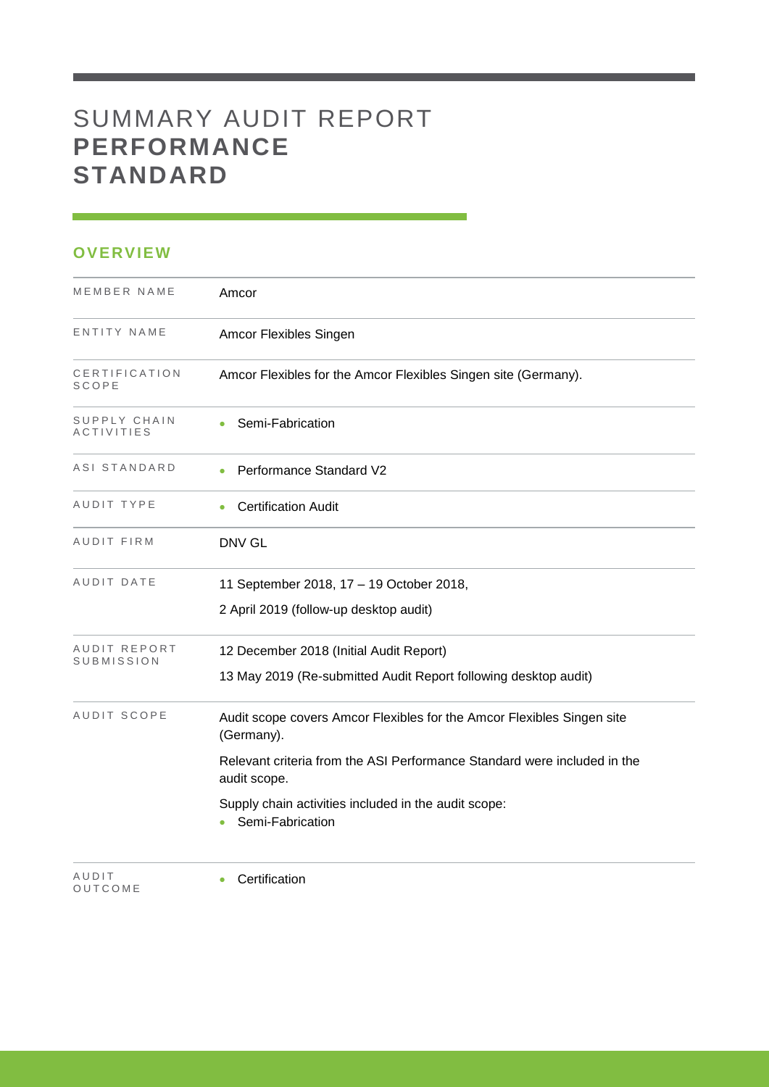## SUMMARY AUDIT REPORT **PERFORMANCE STANDARD**

#### **OVERVIEW**

| MEMBER NAME                       | Amcor                                                                                    |
|-----------------------------------|------------------------------------------------------------------------------------------|
| ENTITY NAME                       | Amcor Flexibles Singen                                                                   |
| CERTIFICATION<br>SCOPE            | Amcor Flexibles for the Amcor Flexibles Singen site (Germany).                           |
| SUPPLY CHAIN<br><b>ACTIVITIES</b> | Semi-Fabrication                                                                         |
| ASI STANDARD                      | Performance Standard V2                                                                  |
| AUDIT TYPE                        | <b>Certification Audit</b>                                                               |
| AUDIT FIRM                        | <b>DNV GL</b>                                                                            |
| AUDIT DATE                        | 11 September 2018, 17 - 19 October 2018,                                                 |
|                                   | 2 April 2019 (follow-up desktop audit)                                                   |
| AUDIT REPORT<br>SUBMISSION        | 12 December 2018 (Initial Audit Report)                                                  |
|                                   | 13 May 2019 (Re-submitted Audit Report following desktop audit)                          |
| AUDIT SCOPE                       | Audit scope covers Amcor Flexibles for the Amcor Flexibles Singen site<br>(Germany).     |
|                                   | Relevant criteria from the ASI Performance Standard were included in the<br>audit scope. |
|                                   | Supply chain activities included in the audit scope:<br>Semi-Fabrication                 |
| AUDIT<br>OUTCOME                  | Certification                                                                            |

<u> 1989 - Johann Barnett, mars et al. 1989 - Anna ann an t-</u>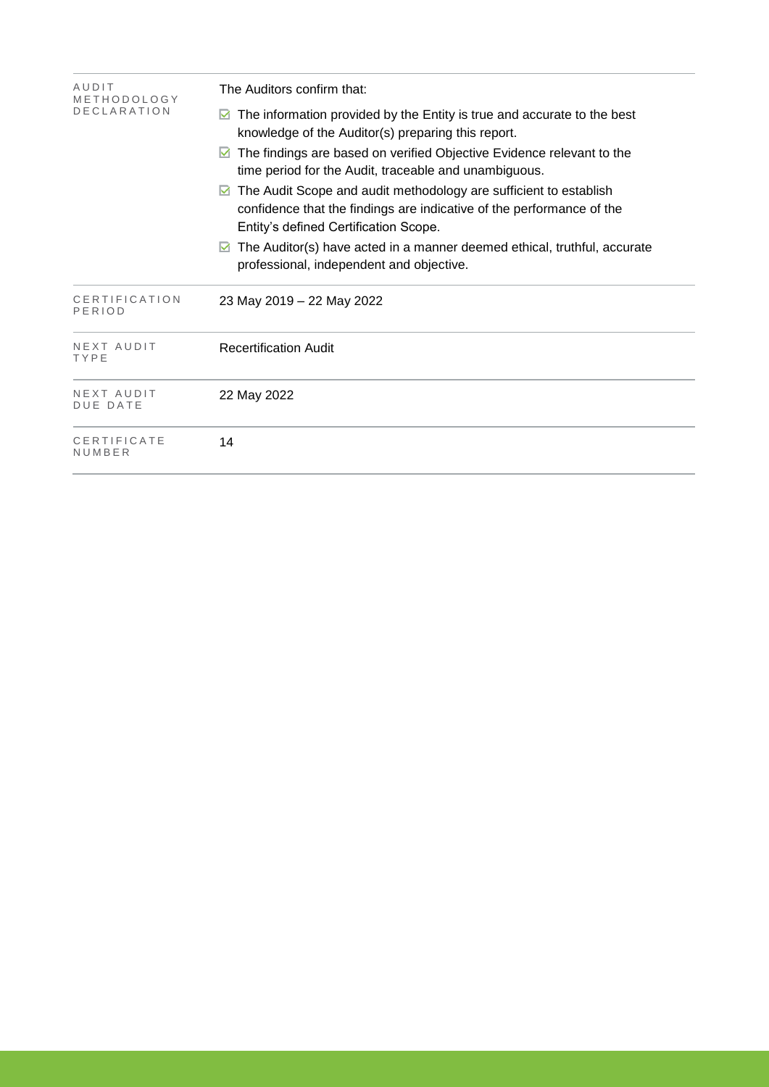| AUDIT<br>METHODOLOGY          | The Auditors confirm that:                                                                                                                                                               |  |  |  |
|-------------------------------|------------------------------------------------------------------------------------------------------------------------------------------------------------------------------------------|--|--|--|
| <b>DECLARATION</b>            | The information provided by the Entity is true and accurate to the best<br>knowledge of the Auditor(s) preparing this report.                                                            |  |  |  |
|                               | The findings are based on verified Objective Evidence relevant to the<br>M<br>time period for the Audit, traceable and unambiguous.                                                      |  |  |  |
|                               | The Audit Scope and audit methodology are sufficient to establish<br>M<br>confidence that the findings are indicative of the performance of the<br>Entity's defined Certification Scope. |  |  |  |
|                               | The Auditor(s) have acted in a manner deemed ethical, truthful, accurate<br>M<br>professional, independent and objective.                                                                |  |  |  |
| CERTIFICATION<br>PERIOD       | 23 May 2019 - 22 May 2022                                                                                                                                                                |  |  |  |
| NEXT AUDIT<br>TYPE            | <b>Recertification Audit</b>                                                                                                                                                             |  |  |  |
| NEXT AUDIT<br><b>DUE DATE</b> | 22 May 2022                                                                                                                                                                              |  |  |  |
| CERTIFICATE<br>NUMBER         | 14                                                                                                                                                                                       |  |  |  |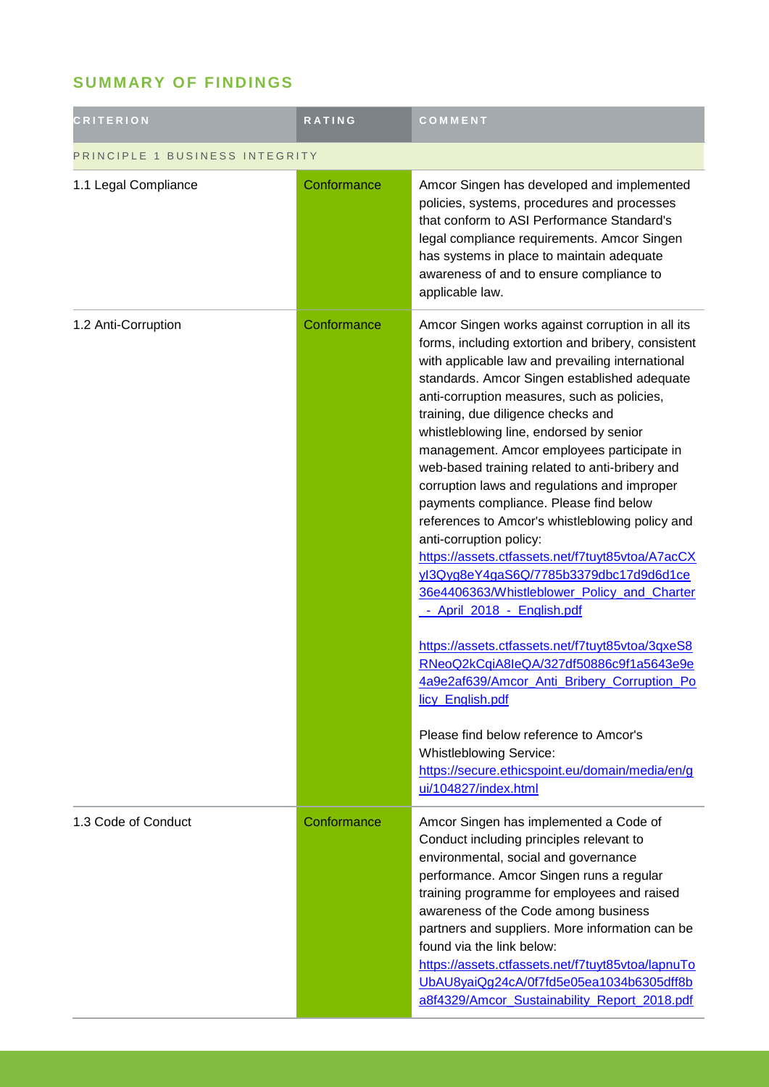### **SUMMARY OF FINDINGS**

| <b>CRITERION</b>               | RATING      | COMMENT                                                                                                                                                                                                                                                                                                                                                                                                                                                                                                                                                                                                                                                                                                                                                                                                                                                                                                                                                                                                                                                                                        |  |
|--------------------------------|-------------|------------------------------------------------------------------------------------------------------------------------------------------------------------------------------------------------------------------------------------------------------------------------------------------------------------------------------------------------------------------------------------------------------------------------------------------------------------------------------------------------------------------------------------------------------------------------------------------------------------------------------------------------------------------------------------------------------------------------------------------------------------------------------------------------------------------------------------------------------------------------------------------------------------------------------------------------------------------------------------------------------------------------------------------------------------------------------------------------|--|
| PRINCIPLE 1 BUSINESS INTEGRITY |             |                                                                                                                                                                                                                                                                                                                                                                                                                                                                                                                                                                                                                                                                                                                                                                                                                                                                                                                                                                                                                                                                                                |  |
| 1.1 Legal Compliance           | Conformance | Amcor Singen has developed and implemented<br>policies, systems, procedures and processes<br>that conform to ASI Performance Standard's<br>legal compliance requirements. Amcor Singen<br>has systems in place to maintain adequate<br>awareness of and to ensure compliance to<br>applicable law.                                                                                                                                                                                                                                                                                                                                                                                                                                                                                                                                                                                                                                                                                                                                                                                             |  |
| 1.2 Anti-Corruption            | Conformance | Amcor Singen works against corruption in all its<br>forms, including extortion and bribery, consistent<br>with applicable law and prevailing international<br>standards. Amcor Singen established adequate<br>anti-corruption measures, such as policies,<br>training, due diligence checks and<br>whistleblowing line, endorsed by senior<br>management. Amcor employees participate in<br>web-based training related to anti-bribery and<br>corruption laws and regulations and improper<br>payments compliance. Please find below<br>references to Amcor's whistleblowing policy and<br>anti-corruption policy:<br>https://assets.ctfassets.net/f7tuyt85vtoa/A7acCX<br>yl3Qyg8eY4gaS6Q/7785b3379dbc17d9d6d1ce<br>36e4406363/Whistleblower Policy and Charter<br>- April 2018 - English.pdf<br>https://assets.ctfassets.net/f7tuyt85vtoa/3qxeS8<br>RNeoQ2kCqiA8leQA/327df50886c9f1a5643e9e<br>4a9e2af639/Amcor_Anti_Bribery_Corruption_Po<br>licy English.pdf<br>Please find below reference to Amcor's<br><b>Whistleblowing Service:</b><br>https://secure.ethicspoint.eu/domain/media/en/g |  |
| 1.3 Code of Conduct            | Conformance | ui/104827/index.html<br>Amcor Singen has implemented a Code of<br>Conduct including principles relevant to<br>environmental, social and governance<br>performance. Amcor Singen runs a regular<br>training programme for employees and raised<br>awareness of the Code among business<br>partners and suppliers. More information can be<br>found via the link below:<br>https://assets.ctfassets.net/f7tuyt85vtoa/lapnuTo<br>UbAU8yaiQg24cA/0f7fd5e05ea1034b6305dff8b<br>a8f4329/Amcor Sustainability Report 2018.pdf                                                                                                                                                                                                                                                                                                                                                                                                                                                                                                                                                                         |  |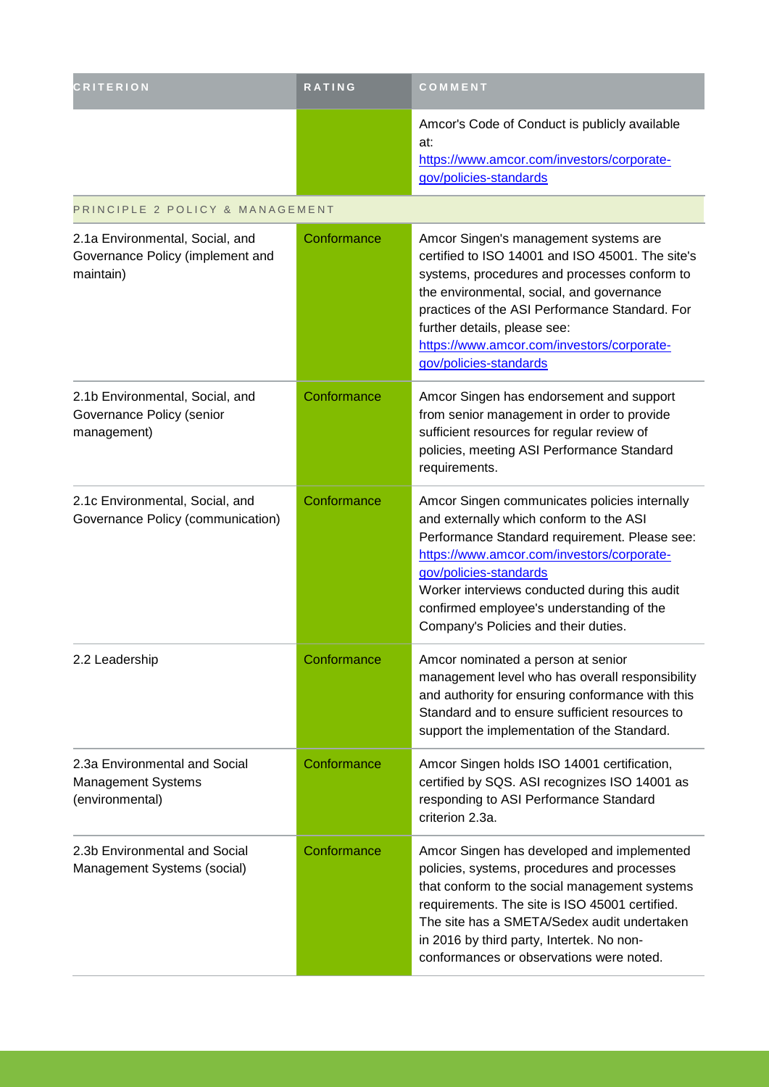| <b>CRITERION</b>                                                                 | <b>RATING</b> | COMMENT                                                                                                                                                                                                                                                                                                                                                 |
|----------------------------------------------------------------------------------|---------------|---------------------------------------------------------------------------------------------------------------------------------------------------------------------------------------------------------------------------------------------------------------------------------------------------------------------------------------------------------|
|                                                                                  |               | Amcor's Code of Conduct is publicly available<br>at:<br>https://www.amcor.com/investors/corporate-<br>gov/policies-standards                                                                                                                                                                                                                            |
| PRINCIPLE 2 POLICY & MANAGEMENT                                                  |               |                                                                                                                                                                                                                                                                                                                                                         |
| 2.1a Environmental, Social, and<br>Governance Policy (implement and<br>maintain) | Conformance   | Amcor Singen's management systems are<br>certified to ISO 14001 and ISO 45001. The site's<br>systems, procedures and processes conform to<br>the environmental, social, and governance<br>practices of the ASI Performance Standard. For<br>further details, please see:<br>https://www.amcor.com/investors/corporate-<br>gov/policies-standards        |
| 2.1b Environmental, Social, and<br>Governance Policy (senior<br>management)      | Conformance   | Amcor Singen has endorsement and support<br>from senior management in order to provide<br>sufficient resources for regular review of<br>policies, meeting ASI Performance Standard<br>requirements.                                                                                                                                                     |
| 2.1c Environmental, Social, and<br>Governance Policy (communication)             | Conformance   | Amcor Singen communicates policies internally<br>and externally which conform to the ASI<br>Performance Standard requirement. Please see:<br>https://www.amcor.com/investors/corporate-<br>gov/policies-standards<br>Worker interviews conducted during this audit<br>confirmed employee's understanding of the<br>Company's Policies and their duties. |
| 2.2 Leadership                                                                   | Conformance   | Amcor nominated a person at senior<br>management level who has overall responsibility<br>and authority for ensuring conformance with this<br>Standard and to ensure sufficient resources to<br>support the implementation of the Standard.                                                                                                              |
| 2.3a Environmental and Social<br><b>Management Systems</b><br>(environmental)    | Conformance   | Amcor Singen holds ISO 14001 certification,<br>certified by SQS. ASI recognizes ISO 14001 as<br>responding to ASI Performance Standard<br>criterion 2.3a.                                                                                                                                                                                               |
| 2.3b Environmental and Social<br>Management Systems (social)                     | Conformance   | Amcor Singen has developed and implemented<br>policies, systems, procedures and processes<br>that conform to the social management systems<br>requirements. The site is ISO 45001 certified.<br>The site has a SMETA/Sedex audit undertaken<br>in 2016 by third party, Intertek. No non-<br>conformances or observations were noted.                    |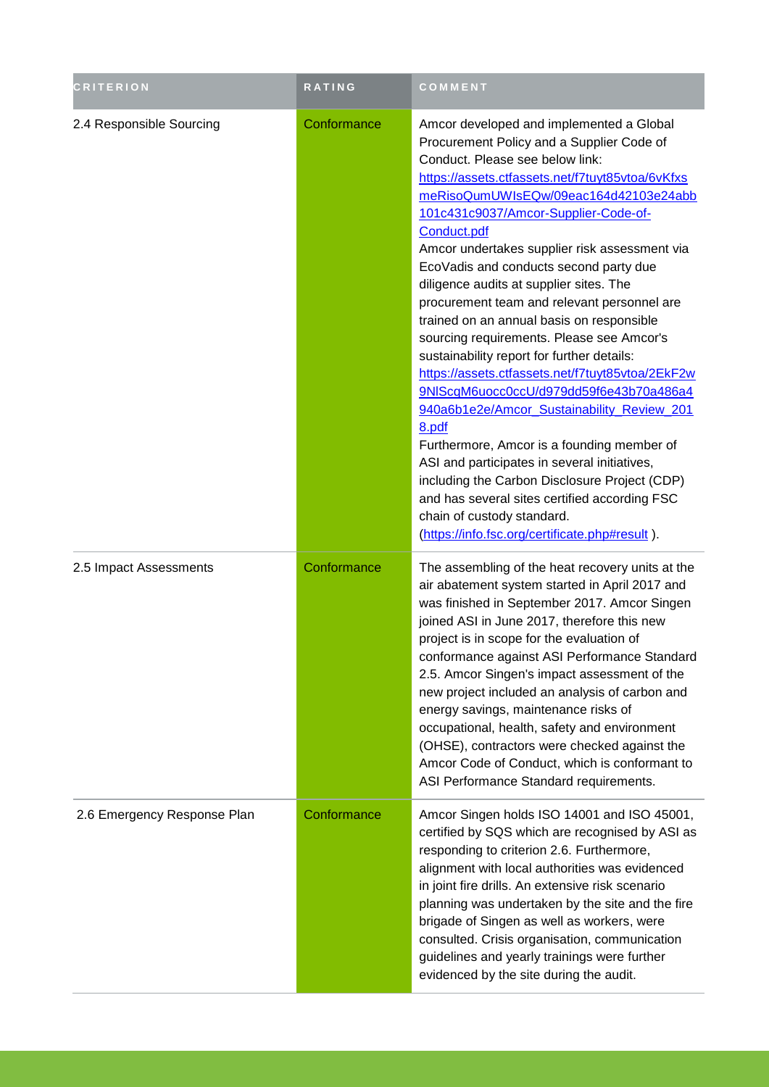| <b>CRITERION</b>            | RATING      | COMMENT                                                                                                                                                                                                                                                                                                                                                                                                                                                                                                                                                                                                                                                                                                                                                                                                                                                                                                                                                                                                                                         |
|-----------------------------|-------------|-------------------------------------------------------------------------------------------------------------------------------------------------------------------------------------------------------------------------------------------------------------------------------------------------------------------------------------------------------------------------------------------------------------------------------------------------------------------------------------------------------------------------------------------------------------------------------------------------------------------------------------------------------------------------------------------------------------------------------------------------------------------------------------------------------------------------------------------------------------------------------------------------------------------------------------------------------------------------------------------------------------------------------------------------|
| 2.4 Responsible Sourcing    | Conformance | Amcor developed and implemented a Global<br>Procurement Policy and a Supplier Code of<br>Conduct. Please see below link:<br>https://assets.ctfassets.net/f7tuyt85vtoa/6vKfxs<br>meRisoQumUWIsEQw/09eac164d42103e24abb<br>101c431c9037/Amcor-Supplier-Code-of-<br>Conduct.pdf<br>Amcor undertakes supplier risk assessment via<br>EcoVadis and conducts second party due<br>diligence audits at supplier sites. The<br>procurement team and relevant personnel are<br>trained on an annual basis on responsible<br>sourcing requirements. Please see Amcor's<br>sustainability report for further details:<br>https://assets.ctfassets.net/f7tuyt85vtoa/2EkF2w<br>9NIScqM6uocc0ccU/d979dd59f6e43b70a486a4<br>940a6b1e2e/Amcor_Sustainability_Review_201<br>8.pdf<br>Furthermore, Amcor is a founding member of<br>ASI and participates in several initiatives,<br>including the Carbon Disclosure Project (CDP)<br>and has several sites certified according FSC<br>chain of custody standard.<br>(https://info.fsc.org/certificate.php#result). |
| 2.5 Impact Assessments      | Conformance | The assembling of the heat recovery units at the<br>air abatement system started in April 2017 and<br>was finished in September 2017. Amcor Singen<br>joined ASI in June 2017, therefore this new<br>project is in scope for the evaluation of<br>conformance against ASI Performance Standard<br>2.5. Amcor Singen's impact assessment of the<br>new project included an analysis of carbon and<br>energy savings, maintenance risks of<br>occupational, health, safety and environment<br>(OHSE), contractors were checked against the<br>Amcor Code of Conduct, which is conformant to<br>ASI Performance Standard requirements.                                                                                                                                                                                                                                                                                                                                                                                                             |
| 2.6 Emergency Response Plan | Conformance | Amcor Singen holds ISO 14001 and ISO 45001,<br>certified by SQS which are recognised by ASI as<br>responding to criterion 2.6. Furthermore,<br>alignment with local authorities was evidenced<br>in joint fire drills. An extensive risk scenario<br>planning was undertaken by the site and the fire<br>brigade of Singen as well as workers, were<br>consulted. Crisis organisation, communication<br>guidelines and yearly trainings were further<br>evidenced by the site during the audit.                                                                                                                                                                                                                                                                                                                                                                                                                                                                                                                                                 |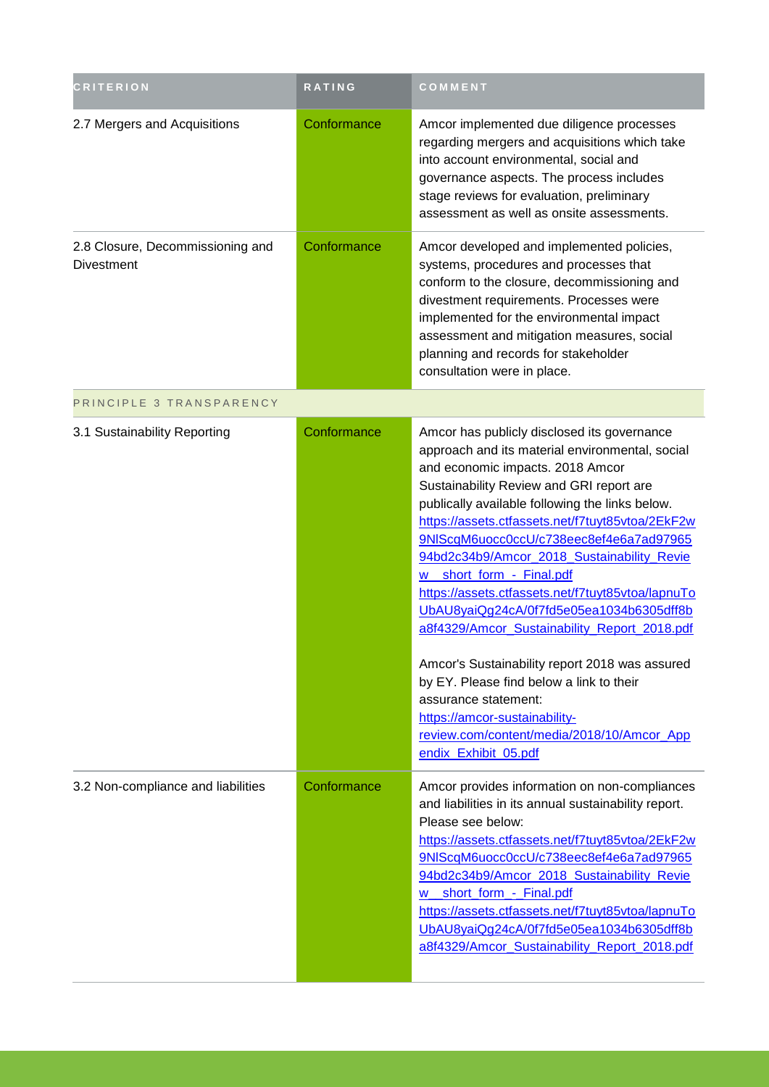| <b>CRITERION</b>                                      | RATING      | COMMENT                                                                                                                                                                                                                                                                                                                                                                                                                                                                                                                                                                                                                                                                                                                                                                                  |
|-------------------------------------------------------|-------------|------------------------------------------------------------------------------------------------------------------------------------------------------------------------------------------------------------------------------------------------------------------------------------------------------------------------------------------------------------------------------------------------------------------------------------------------------------------------------------------------------------------------------------------------------------------------------------------------------------------------------------------------------------------------------------------------------------------------------------------------------------------------------------------|
| 2.7 Mergers and Acquisitions                          | Conformance | Amcor implemented due diligence processes<br>regarding mergers and acquisitions which take<br>into account environmental, social and<br>governance aspects. The process includes<br>stage reviews for evaluation, preliminary<br>assessment as well as onsite assessments.                                                                                                                                                                                                                                                                                                                                                                                                                                                                                                               |
| 2.8 Closure, Decommissioning and<br><b>Divestment</b> | Conformance | Amcor developed and implemented policies,<br>systems, procedures and processes that<br>conform to the closure, decommissioning and<br>divestment requirements. Processes were<br>implemented for the environmental impact<br>assessment and mitigation measures, social<br>planning and records for stakeholder<br>consultation were in place.                                                                                                                                                                                                                                                                                                                                                                                                                                           |
| PRINCIPLE 3 TRANSPARENCY                              |             |                                                                                                                                                                                                                                                                                                                                                                                                                                                                                                                                                                                                                                                                                                                                                                                          |
| 3.1 Sustainability Reporting                          | Conformance | Amcor has publicly disclosed its governance<br>approach and its material environmental, social<br>and economic impacts. 2018 Amcor<br>Sustainability Review and GRI report are<br>publically available following the links below.<br>https://assets.ctfassets.net/f7tuyt85vtoa/2EkF2w<br>9NIScqM6uocc0ccU/c738eec8ef4e6a7ad97965<br>94bd2c34b9/Amcor_2018_Sustainability_Revie<br>w_short_form_-_Final.pdf<br>https://assets.ctfassets.net/f7tuyt85vtoa/lapnuTo<br>UbAU8yaiQg24cA/0f7fd5e05ea1034b6305dff8b<br>a8f4329/Amcor Sustainability Report 2018.pdf<br>Amcor's Sustainability report 2018 was assured<br>by EY. Please find below a link to their<br>assurance statement:<br>https://amcor-sustainability-<br>review.com/content/media/2018/10/Amcor_App<br>endix_Exhibit_05.pdf |
| 3.2 Non-compliance and liabilities                    | Conformance | Amcor provides information on non-compliances<br>and liabilities in its annual sustainability report.<br>Please see below:<br>https://assets.ctfassets.net/f7tuyt85vtoa/2EkF2w<br>9NIScqM6uocc0ccU/c738eec8ef4e6a7ad97965<br>94bd2c34b9/Amcor_2018_Sustainability_Revie<br>short_form_-_Final.pdf<br>https://assets.ctfassets.net/f7tuyt85vtoa/lapnuTo<br>UbAU8yaiQg24cA/0f7fd5e05ea1034b6305dff8b<br>a8f4329/Amcor Sustainability Report 2018.pdf                                                                                                                                                                                                                                                                                                                                       |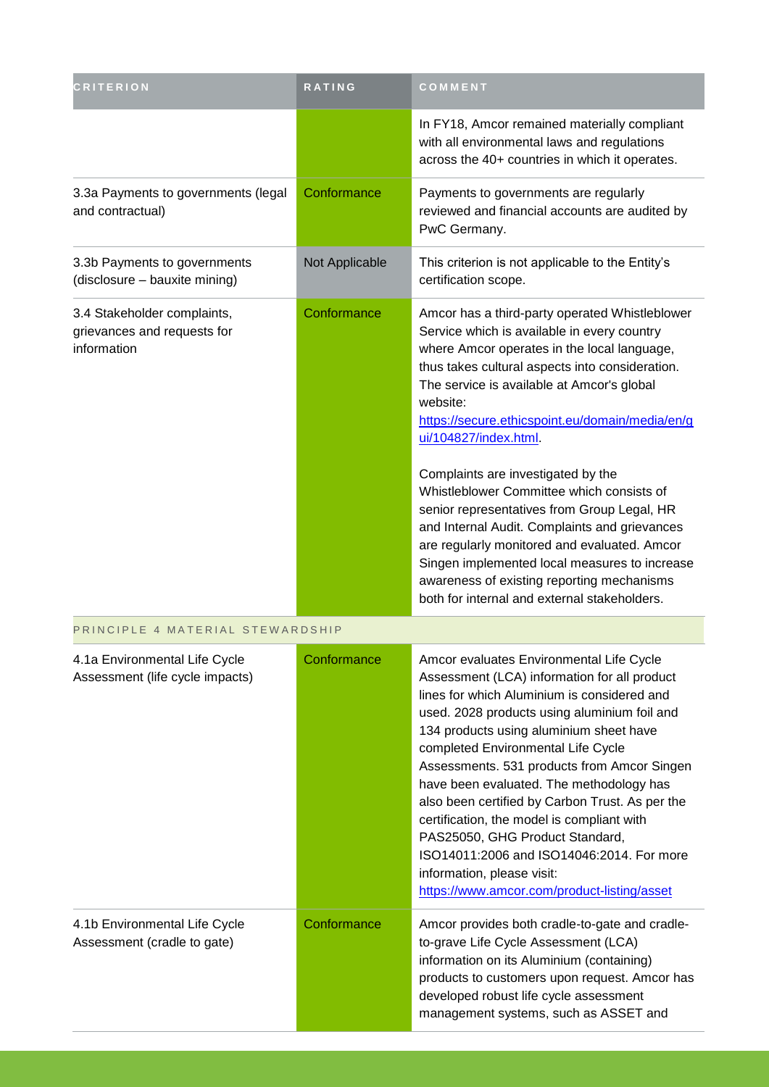| <b>CRITERION</b>                                                          | RATING         | COMMENT                                                                                                                                                                                                                                                                                                                                                                                                                                                                                                                                                                                                                                                                                                                 |
|---------------------------------------------------------------------------|----------------|-------------------------------------------------------------------------------------------------------------------------------------------------------------------------------------------------------------------------------------------------------------------------------------------------------------------------------------------------------------------------------------------------------------------------------------------------------------------------------------------------------------------------------------------------------------------------------------------------------------------------------------------------------------------------------------------------------------------------|
|                                                                           |                | In FY18, Amcor remained materially compliant<br>with all environmental laws and regulations<br>across the 40+ countries in which it operates.                                                                                                                                                                                                                                                                                                                                                                                                                                                                                                                                                                           |
| 3.3a Payments to governments (legal<br>and contractual)                   | Conformance    | Payments to governments are regularly<br>reviewed and financial accounts are audited by<br>PwC Germany.                                                                                                                                                                                                                                                                                                                                                                                                                                                                                                                                                                                                                 |
| 3.3b Payments to governments<br>(disclosure - bauxite mining)             | Not Applicable | This criterion is not applicable to the Entity's<br>certification scope.                                                                                                                                                                                                                                                                                                                                                                                                                                                                                                                                                                                                                                                |
| 3.4 Stakeholder complaints,<br>grievances and requests for<br>information | Conformance    | Amcor has a third-party operated Whistleblower<br>Service which is available in every country<br>where Amcor operates in the local language,<br>thus takes cultural aspects into consideration.<br>The service is available at Amcor's global<br>website:<br>https://secure.ethicspoint.eu/domain/media/en/g<br>ui/104827/index.html.<br>Complaints are investigated by the<br>Whistleblower Committee which consists of<br>senior representatives from Group Legal, HR<br>and Internal Audit. Complaints and grievances<br>are regularly monitored and evaluated. Amcor<br>Singen implemented local measures to increase<br>awareness of existing reporting mechanisms<br>both for internal and external stakeholders. |
| PRINCIPLE 4 MATERIAL STEWARDSHIP                                          |                |                                                                                                                                                                                                                                                                                                                                                                                                                                                                                                                                                                                                                                                                                                                         |
| 4.1a Environmental Life Cycle<br>Assessment (life cycle impacts)          | Conformance    | Amcor evaluates Environmental Life Cycle<br>Assessment (LCA) information for all product<br>lines for which Aluminium is considered and<br>used. 2028 products using aluminium foil and<br>134 products using aluminium sheet have<br>completed Environmental Life Cycle<br>Assessments. 531 products from Amcor Singen<br>have been evaluated. The methodology has<br>also been certified by Carbon Trust. As per the<br>certification, the model is compliant with<br>PAS25050, GHG Product Standard,<br>ISO14011:2006 and ISO14046:2014. For more<br>information, please visit:<br>https://www.amcor.com/product-listing/asset                                                                                       |
| 4.1b Environmental Life Cycle<br>Assessment (cradle to gate)              | Conformance    | Amcor provides both cradle-to-gate and cradle-<br>to-grave Life Cycle Assessment (LCA)<br>information on its Aluminium (containing)<br>products to customers upon request. Amcor has<br>developed robust life cycle assessment<br>management systems, such as ASSET and                                                                                                                                                                                                                                                                                                                                                                                                                                                 |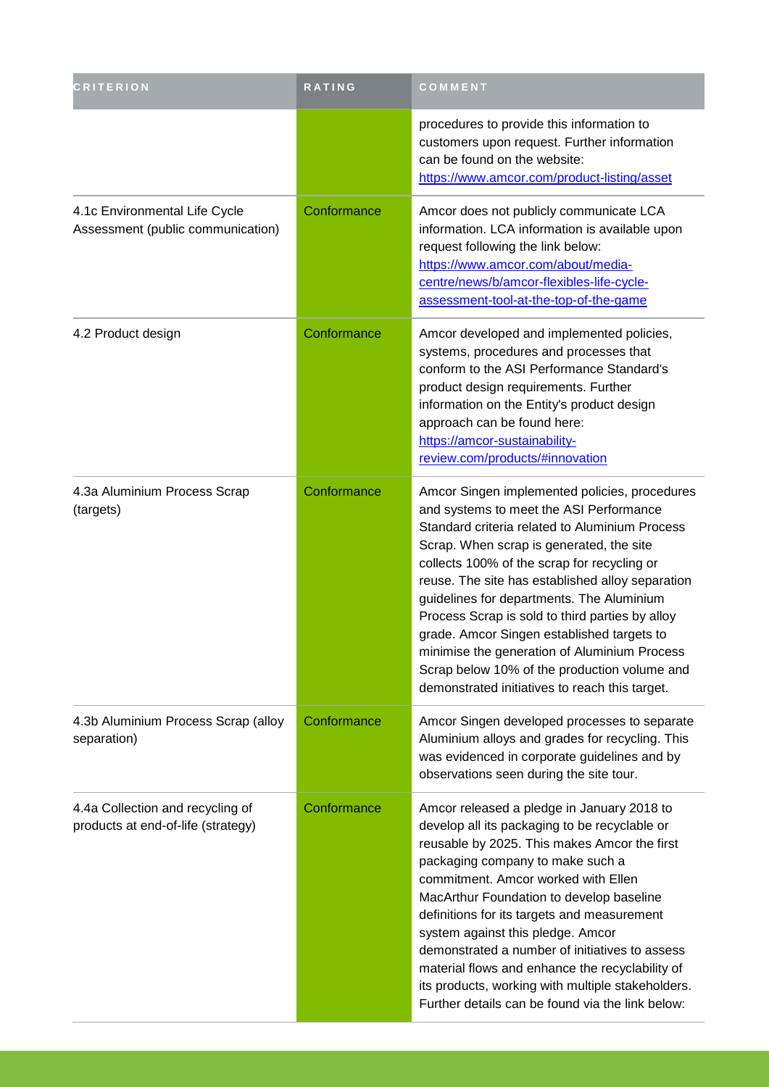| <b>CRITERION</b>                                                       | RATING      | COMMENT                                                                                                                                                                                                                                                                                                                                                                                                                                                                                                                                                                                   |
|------------------------------------------------------------------------|-------------|-------------------------------------------------------------------------------------------------------------------------------------------------------------------------------------------------------------------------------------------------------------------------------------------------------------------------------------------------------------------------------------------------------------------------------------------------------------------------------------------------------------------------------------------------------------------------------------------|
|                                                                        |             | procedures to provide this information to<br>customers upon request. Further information<br>can be found on the website:<br>https://www.amcor.com/product-listing/asset                                                                                                                                                                                                                                                                                                                                                                                                                   |
| 4.1c Environmental Life Cycle<br>Assessment (public communication)     | Conformance | Amcor does not publicly communicate LCA<br>information. LCA information is available upon<br>request following the link below:<br>https://www.amcor.com/about/media-<br>centre/news/b/amcor-flexibles-life-cycle-<br>assessment-tool-at-the-top-of-the-game                                                                                                                                                                                                                                                                                                                               |
| 4.2 Product design                                                     | Conformance | Amcor developed and implemented policies,<br>systems, procedures and processes that<br>conform to the ASI Performance Standard's<br>product design requirements. Further<br>information on the Entity's product design<br>approach can be found here:<br>https://amcor-sustainability-<br>review.com/products/#innovation                                                                                                                                                                                                                                                                 |
| 4.3a Aluminium Process Scrap<br>(targets)                              | Conformance | Amcor Singen implemented policies, procedures<br>and systems to meet the ASI Performance<br>Standard criteria related to Aluminium Process<br>Scrap. When scrap is generated, the site<br>collects 100% of the scrap for recycling or<br>reuse. The site has established alloy separation<br>guidelines for departments. The Aluminium<br>Process Scrap is sold to third parties by alloy<br>grade. Amcor Singen established targets to<br>minimise the generation of Aluminium Process<br>Scrap below 10% of the production volume and<br>demonstrated initiatives to reach this target. |
| 4.3b Aluminium Process Scrap (alloy<br>separation)                     | Conformance | Amcor Singen developed processes to separate<br>Aluminium alloys and grades for recycling. This<br>was evidenced in corporate guidelines and by<br>observations seen during the site tour.                                                                                                                                                                                                                                                                                                                                                                                                |
| 4.4a Collection and recycling of<br>products at end-of-life (strategy) | Conformance | Amcor released a pledge in January 2018 to<br>develop all its packaging to be recyclable or<br>reusable by 2025. This makes Amcor the first<br>packaging company to make such a<br>commitment. Amcor worked with Ellen<br>MacArthur Foundation to develop baseline<br>definitions for its targets and measurement<br>system against this pledge. Amcor<br>demonstrated a number of initiatives to assess<br>material flows and enhance the recyclability of<br>its products, working with multiple stakeholders.<br>Further details can be found via the link below:                      |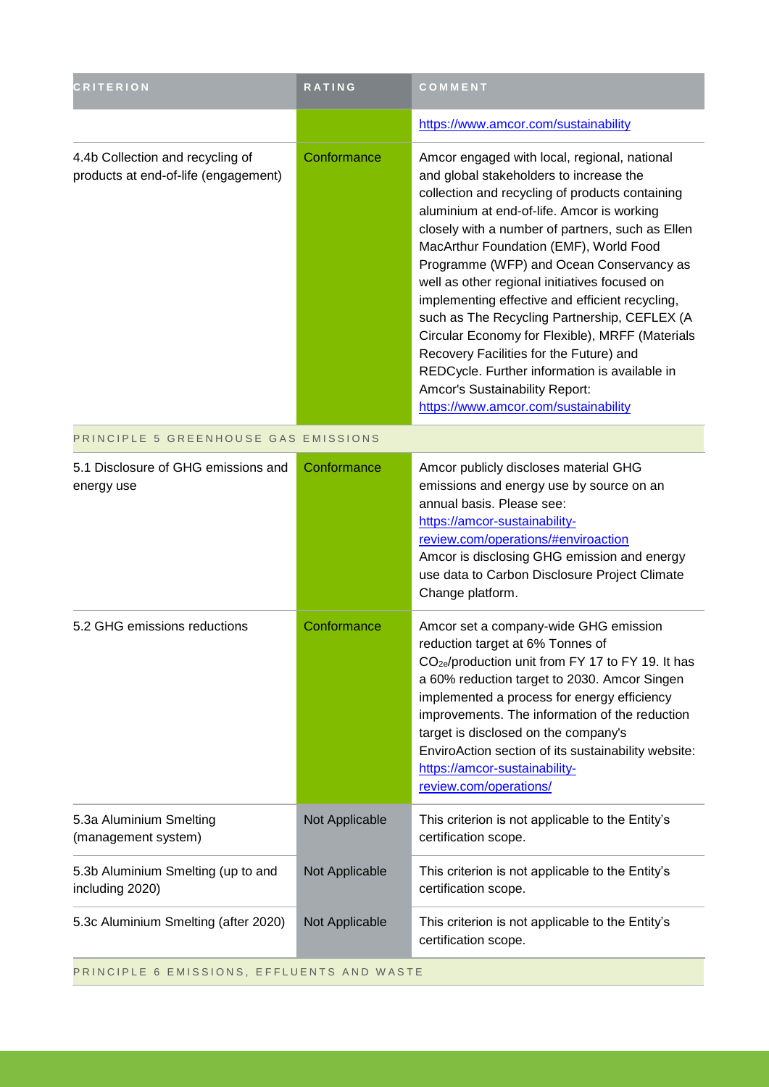| <b>CRITERION</b>                                                         | <b>RATING</b>  | COMMENT                                                                                                                                                                                                                                                                                                                                                                                                                                                                                                                                                                                                                                                                                                         |  |
|--------------------------------------------------------------------------|----------------|-----------------------------------------------------------------------------------------------------------------------------------------------------------------------------------------------------------------------------------------------------------------------------------------------------------------------------------------------------------------------------------------------------------------------------------------------------------------------------------------------------------------------------------------------------------------------------------------------------------------------------------------------------------------------------------------------------------------|--|
|                                                                          |                | https://www.amcor.com/sustainability                                                                                                                                                                                                                                                                                                                                                                                                                                                                                                                                                                                                                                                                            |  |
| 4.4b Collection and recycling of<br>products at end-of-life (engagement) | Conformance    | Amcor engaged with local, regional, national<br>and global stakeholders to increase the<br>collection and recycling of products containing<br>aluminium at end-of-life. Amcor is working<br>closely with a number of partners, such as Ellen<br>MacArthur Foundation (EMF), World Food<br>Programme (WFP) and Ocean Conservancy as<br>well as other regional initiatives focused on<br>implementing effective and efficient recycling,<br>such as The Recycling Partnership, CEFLEX (A<br>Circular Economy for Flexible), MRFF (Materials<br>Recovery Facilities for the Future) and<br>REDCycle. Further information is available in<br>Amcor's Sustainability Report:<br>https://www.amcor.com/sustainability |  |
| PRINCIPLE 5 GREENHOUSE GAS EMISSIONS                                     |                |                                                                                                                                                                                                                                                                                                                                                                                                                                                                                                                                                                                                                                                                                                                 |  |
| 5.1 Disclosure of GHG emissions and<br>energy use                        | Conformance    | Amcor publicly discloses material GHG<br>emissions and energy use by source on an<br>annual basis. Please see:<br>https://amcor-sustainability-<br>review.com/operations/#enviroaction<br>Amcor is disclosing GHG emission and energy<br>use data to Carbon Disclosure Project Climate<br>Change platform.                                                                                                                                                                                                                                                                                                                                                                                                      |  |
| 5.2 GHG emissions reductions                                             | Conformance    | Amcor set a company-wide GHG emission<br>reduction target at 6% Tonnes of<br>CO <sub>2e</sub> /production unit from FY 17 to FY 19. It has<br>a 60% reduction target to 2030. Amcor Singen<br>implemented a process for energy efficiency<br>improvements. The information of the reduction<br>target is disclosed on the company's<br>EnviroAction section of its sustainability website:<br>https://amcor-sustainability-<br>review.com/operations/                                                                                                                                                                                                                                                           |  |
| 5.3a Aluminium Smelting<br>(management system)                           | Not Applicable | This criterion is not applicable to the Entity's<br>certification scope.                                                                                                                                                                                                                                                                                                                                                                                                                                                                                                                                                                                                                                        |  |
| 5.3b Aluminium Smelting (up to and<br>including 2020)                    | Not Applicable | This criterion is not applicable to the Entity's<br>certification scope.                                                                                                                                                                                                                                                                                                                                                                                                                                                                                                                                                                                                                                        |  |
| 5.3c Aluminium Smelting (after 2020)                                     | Not Applicable | This criterion is not applicable to the Entity's<br>certification scope.                                                                                                                                                                                                                                                                                                                                                                                                                                                                                                                                                                                                                                        |  |
| PRINCIPLE 6 EMISSIONS, EFFLUENTS AND WASTE                               |                |                                                                                                                                                                                                                                                                                                                                                                                                                                                                                                                                                                                                                                                                                                                 |  |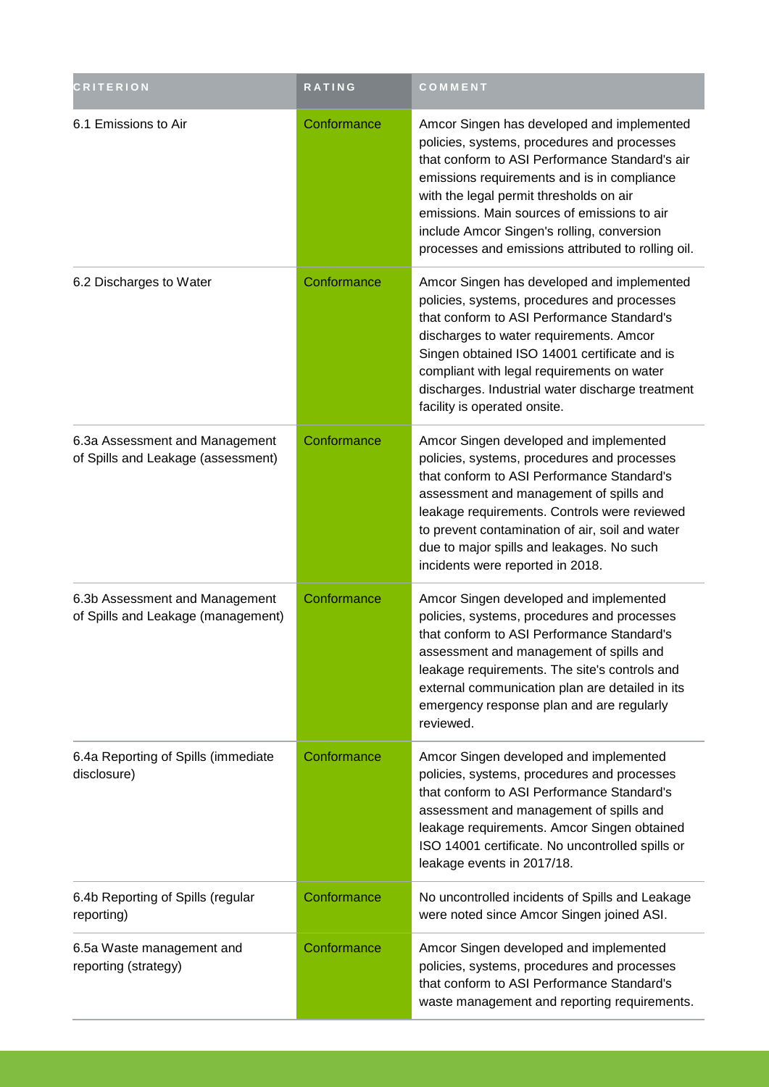| <b>CRITERION</b>                                                     | RATING      | COMMENT                                                                                                                                                                                                                                                                                                                                                                                  |
|----------------------------------------------------------------------|-------------|------------------------------------------------------------------------------------------------------------------------------------------------------------------------------------------------------------------------------------------------------------------------------------------------------------------------------------------------------------------------------------------|
| 6.1 Emissions to Air                                                 | Conformance | Amcor Singen has developed and implemented<br>policies, systems, procedures and processes<br>that conform to ASI Performance Standard's air<br>emissions requirements and is in compliance<br>with the legal permit thresholds on air<br>emissions. Main sources of emissions to air<br>include Amcor Singen's rolling, conversion<br>processes and emissions attributed to rolling oil. |
| 6.2 Discharges to Water                                              | Conformance | Amcor Singen has developed and implemented<br>policies, systems, procedures and processes<br>that conform to ASI Performance Standard's<br>discharges to water requirements. Amcor<br>Singen obtained ISO 14001 certificate and is<br>compliant with legal requirements on water<br>discharges. Industrial water discharge treatment<br>facility is operated onsite.                     |
| 6.3a Assessment and Management<br>of Spills and Leakage (assessment) | Conformance | Amcor Singen developed and implemented<br>policies, systems, procedures and processes<br>that conform to ASI Performance Standard's<br>assessment and management of spills and<br>leakage requirements. Controls were reviewed<br>to prevent contamination of air, soil and water<br>due to major spills and leakages. No such<br>incidents were reported in 2018.                       |
| 6.3b Assessment and Management<br>of Spills and Leakage (management) | Conformance | Amcor Singen developed and implemented<br>policies, systems, procedures and processes<br>that conform to ASI Performance Standard's<br>assessment and management of spills and<br>leakage requirements. The site's controls and<br>external communication plan are detailed in its<br>emergency response plan and are regularly<br>reviewed.                                             |
| 6.4a Reporting of Spills (immediate<br>disclosure)                   | Conformance | Amcor Singen developed and implemented<br>policies, systems, procedures and processes<br>that conform to ASI Performance Standard's<br>assessment and management of spills and<br>leakage requirements. Amcor Singen obtained<br>ISO 14001 certificate. No uncontrolled spills or<br>leakage events in 2017/18.                                                                          |
| 6.4b Reporting of Spills (regular<br>reporting)                      | Conformance | No uncontrolled incidents of Spills and Leakage<br>were noted since Amcor Singen joined ASI.                                                                                                                                                                                                                                                                                             |
| 6.5a Waste management and<br>reporting (strategy)                    | Conformance | Amcor Singen developed and implemented<br>policies, systems, procedures and processes<br>that conform to ASI Performance Standard's<br>waste management and reporting requirements.                                                                                                                                                                                                      |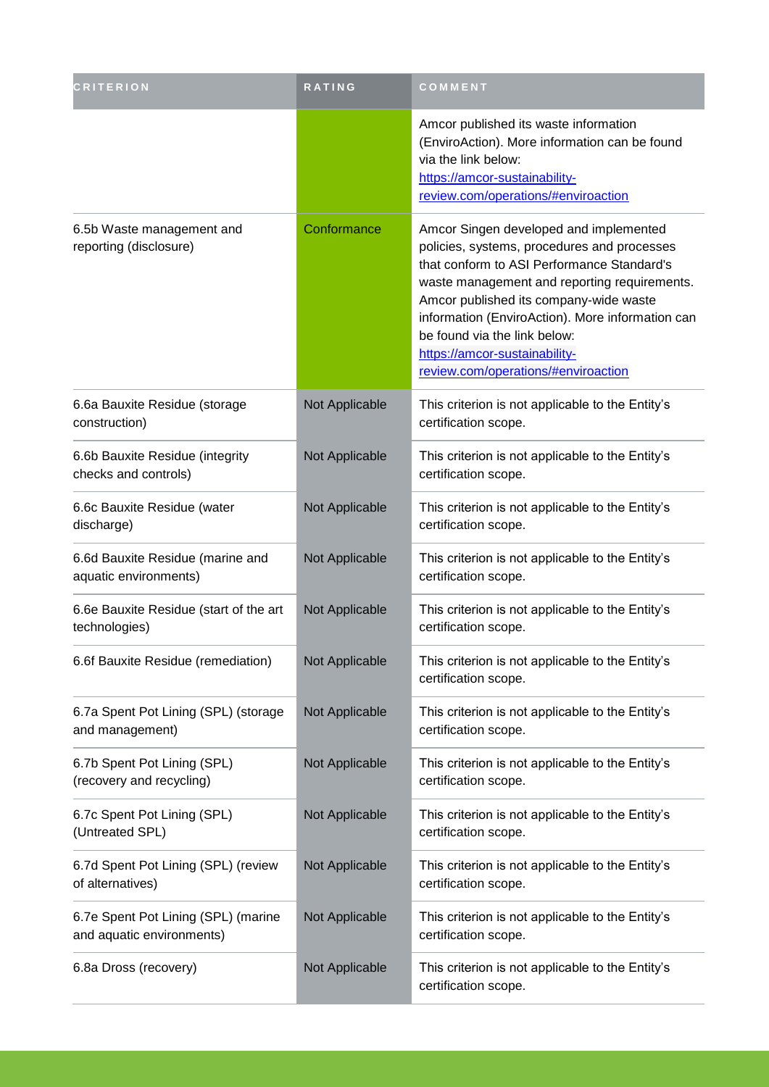| <b>CRITERION</b>                                                 | RATING         | COMMENT                                                                                                                                                                                                                                                                                                                                                                                   |
|------------------------------------------------------------------|----------------|-------------------------------------------------------------------------------------------------------------------------------------------------------------------------------------------------------------------------------------------------------------------------------------------------------------------------------------------------------------------------------------------|
|                                                                  |                | Amcor published its waste information<br>(EnviroAction). More information can be found<br>via the link below:<br>https://amcor-sustainability-<br>review.com/operations/#enviroaction                                                                                                                                                                                                     |
| 6.5b Waste management and<br>reporting (disclosure)              | Conformance    | Amcor Singen developed and implemented<br>policies, systems, procedures and processes<br>that conform to ASI Performance Standard's<br>waste management and reporting requirements.<br>Amcor published its company-wide waste<br>information (EnviroAction). More information can<br>be found via the link below:<br>https://amcor-sustainability-<br>review.com/operations/#enviroaction |
| 6.6a Bauxite Residue (storage<br>construction)                   | Not Applicable | This criterion is not applicable to the Entity's<br>certification scope.                                                                                                                                                                                                                                                                                                                  |
| 6.6b Bauxite Residue (integrity<br>checks and controls)          | Not Applicable | This criterion is not applicable to the Entity's<br>certification scope.                                                                                                                                                                                                                                                                                                                  |
| 6.6c Bauxite Residue (water<br>discharge)                        | Not Applicable | This criterion is not applicable to the Entity's<br>certification scope.                                                                                                                                                                                                                                                                                                                  |
| 6.6d Bauxite Residue (marine and<br>aquatic environments)        | Not Applicable | This criterion is not applicable to the Entity's<br>certification scope.                                                                                                                                                                                                                                                                                                                  |
| 6.6e Bauxite Residue (start of the art<br>technologies)          | Not Applicable | This criterion is not applicable to the Entity's<br>certification scope.                                                                                                                                                                                                                                                                                                                  |
| 6.6f Bauxite Residue (remediation)                               | Not Applicable | This criterion is not applicable to the Entity's<br>certification scope.                                                                                                                                                                                                                                                                                                                  |
| 6.7a Spent Pot Lining (SPL) (storage<br>and management)          | Not Applicable | This criterion is not applicable to the Entity's<br>certification scope.                                                                                                                                                                                                                                                                                                                  |
| 6.7b Spent Pot Lining (SPL)<br>(recovery and recycling)          | Not Applicable | This criterion is not applicable to the Entity's<br>certification scope.                                                                                                                                                                                                                                                                                                                  |
| 6.7c Spent Pot Lining (SPL)<br>(Untreated SPL)                   | Not Applicable | This criterion is not applicable to the Entity's<br>certification scope.                                                                                                                                                                                                                                                                                                                  |
| 6.7d Spent Pot Lining (SPL) (review<br>of alternatives)          | Not Applicable | This criterion is not applicable to the Entity's<br>certification scope.                                                                                                                                                                                                                                                                                                                  |
| 6.7e Spent Pot Lining (SPL) (marine<br>and aquatic environments) | Not Applicable | This criterion is not applicable to the Entity's<br>certification scope.                                                                                                                                                                                                                                                                                                                  |
| 6.8a Dross (recovery)                                            | Not Applicable | This criterion is not applicable to the Entity's<br>certification scope.                                                                                                                                                                                                                                                                                                                  |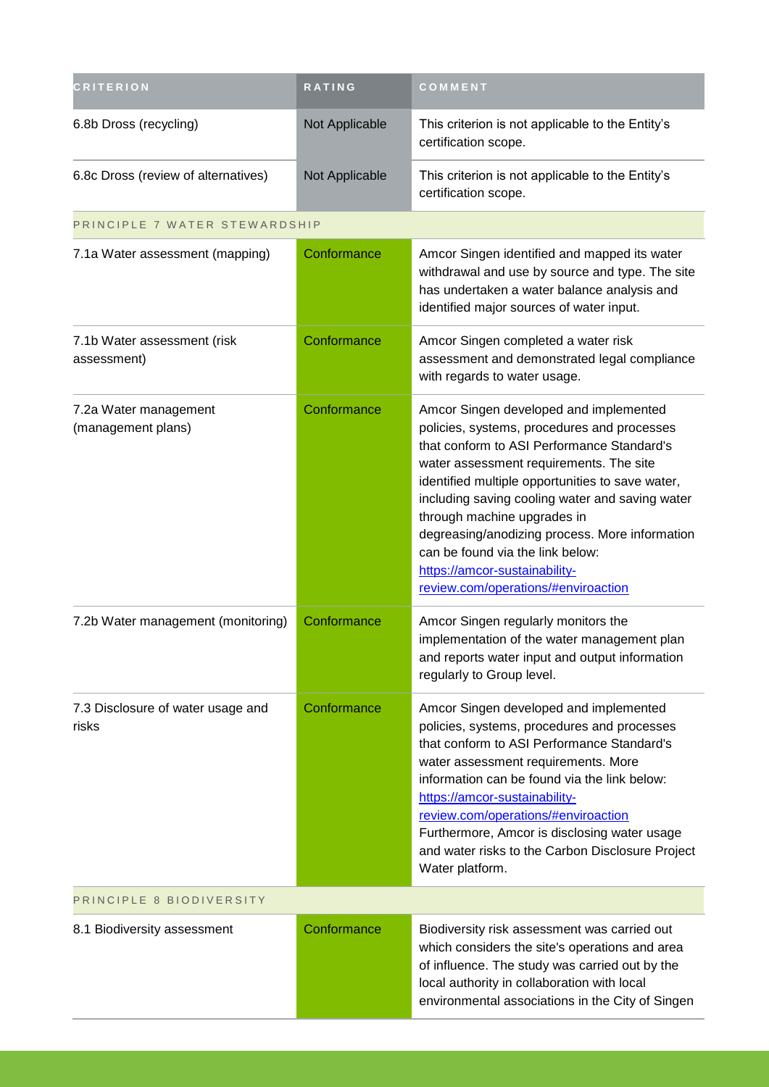| <b>CRITERION</b>                            | RATING         | COMMENT                                                                                                                                                                                                                                                                                                                                                                                                                                                                            |  |
|---------------------------------------------|----------------|------------------------------------------------------------------------------------------------------------------------------------------------------------------------------------------------------------------------------------------------------------------------------------------------------------------------------------------------------------------------------------------------------------------------------------------------------------------------------------|--|
| 6.8b Dross (recycling)                      | Not Applicable | This criterion is not applicable to the Entity's<br>certification scope.                                                                                                                                                                                                                                                                                                                                                                                                           |  |
| 6.8c Dross (review of alternatives)         | Not Applicable | This criterion is not applicable to the Entity's<br>certification scope.                                                                                                                                                                                                                                                                                                                                                                                                           |  |
| PRINCIPLE 7 WATER STEWARDSHIP               |                |                                                                                                                                                                                                                                                                                                                                                                                                                                                                                    |  |
| 7.1a Water assessment (mapping)             | Conformance    | Amcor Singen identified and mapped its water<br>withdrawal and use by source and type. The site<br>has undertaken a water balance analysis and<br>identified major sources of water input.                                                                                                                                                                                                                                                                                         |  |
| 7.1b Water assessment (risk<br>assessment)  | Conformance    | Amcor Singen completed a water risk<br>assessment and demonstrated legal compliance<br>with regards to water usage.                                                                                                                                                                                                                                                                                                                                                                |  |
| 7.2a Water management<br>(management plans) | Conformance    | Amcor Singen developed and implemented<br>policies, systems, procedures and processes<br>that conform to ASI Performance Standard's<br>water assessment requirements. The site<br>identified multiple opportunities to save water,<br>including saving cooling water and saving water<br>through machine upgrades in<br>degreasing/anodizing process. More information<br>can be found via the link below:<br>https://amcor-sustainability-<br>review.com/operations/#enviroaction |  |
| 7.2b Water management (monitoring)          | Conformance    | Amcor Singen regularly monitors the<br>implementation of the water management plan<br>and reports water input and output information<br>regularly to Group level.                                                                                                                                                                                                                                                                                                                  |  |
| 7.3 Disclosure of water usage and<br>risks  | Conformance    | Amcor Singen developed and implemented<br>policies, systems, procedures and processes<br>that conform to ASI Performance Standard's<br>water assessment requirements. More<br>information can be found via the link below:<br>https://amcor-sustainability-<br>review.com/operations/#enviroaction<br>Furthermore, Amcor is disclosing water usage<br>and water risks to the Carbon Disclosure Project<br>Water platform.                                                          |  |
| PRINCIPLE 8 BIODIVERSITY                    |                |                                                                                                                                                                                                                                                                                                                                                                                                                                                                                    |  |
| 8.1 Biodiversity assessment                 | Conformance    | Biodiversity risk assessment was carried out<br>which considers the site's operations and area<br>of influence. The study was carried out by the<br>local authority in collaboration with local<br>environmental associations in the City of Singen                                                                                                                                                                                                                                |  |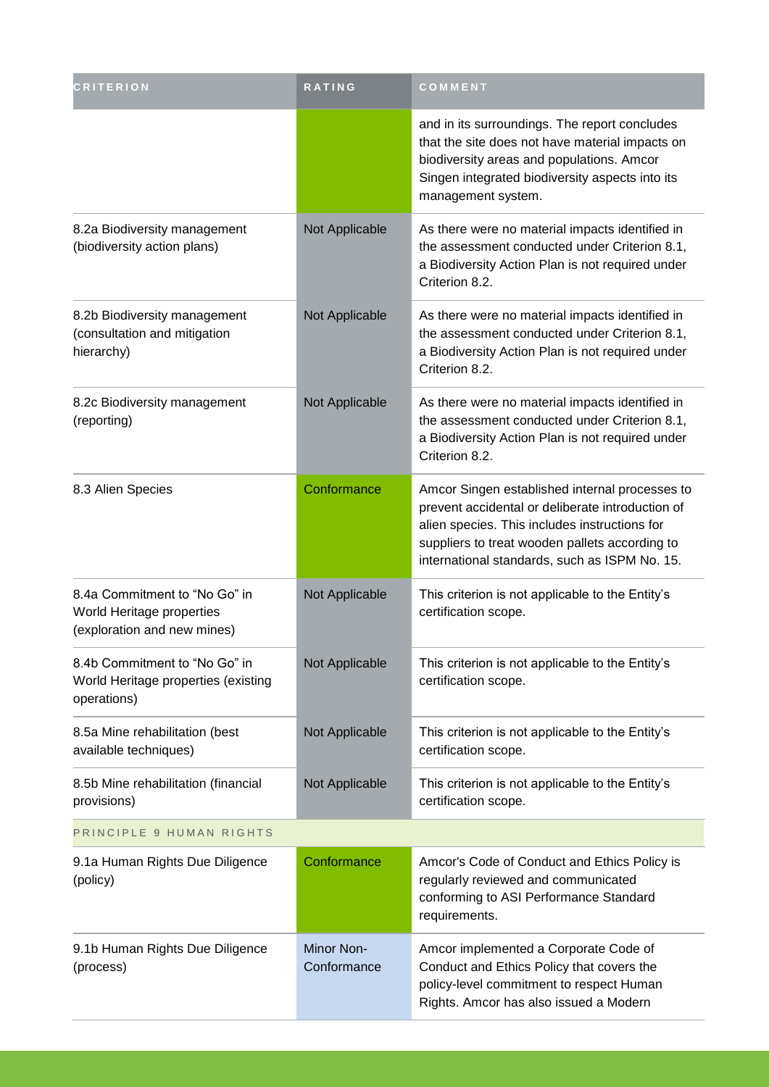| <b>CRITERION</b>                                                                          | <b>RATING</b>             | COMMENT                                                                                                                                                                                                                                                |
|-------------------------------------------------------------------------------------------|---------------------------|--------------------------------------------------------------------------------------------------------------------------------------------------------------------------------------------------------------------------------------------------------|
|                                                                                           |                           | and in its surroundings. The report concludes<br>that the site does not have material impacts on<br>biodiversity areas and populations. Amcor<br>Singen integrated biodiversity aspects into its<br>management system.                                 |
| 8.2a Biodiversity management<br>(biodiversity action plans)                               | Not Applicable            | As there were no material impacts identified in<br>the assessment conducted under Criterion 8.1,<br>a Biodiversity Action Plan is not required under<br>Criterion 8.2.                                                                                 |
| 8.2b Biodiversity management<br>(consultation and mitigation<br>hierarchy)                | Not Applicable            | As there were no material impacts identified in<br>the assessment conducted under Criterion 8.1,<br>a Biodiversity Action Plan is not required under<br>Criterion 8.2.                                                                                 |
| 8.2c Biodiversity management<br>(reporting)                                               | Not Applicable            | As there were no material impacts identified in<br>the assessment conducted under Criterion 8.1,<br>a Biodiversity Action Plan is not required under<br>Criterion 8.2.                                                                                 |
| 8.3 Alien Species                                                                         | Conformance               | Amcor Singen established internal processes to<br>prevent accidental or deliberate introduction of<br>alien species. This includes instructions for<br>suppliers to treat wooden pallets according to<br>international standards, such as ISPM No. 15. |
| 8.4a Commitment to "No Go" in<br>World Heritage properties<br>(exploration and new mines) | Not Applicable            | This criterion is not applicable to the Entity's<br>certification scope.                                                                                                                                                                               |
| 8.4b Commitment to "No Go" in<br>World Heritage properties (existing<br>operations)       | Not Applicable            | This criterion is not applicable to the Entity's<br>certification scope.                                                                                                                                                                               |
| 8.5a Mine rehabilitation (best<br>available techniques)                                   | Not Applicable            | This criterion is not applicable to the Entity's<br>certification scope.                                                                                                                                                                               |
| 8.5b Mine rehabilitation (financial<br>provisions)                                        | Not Applicable            | This criterion is not applicable to the Entity's<br>certification scope.                                                                                                                                                                               |
| PRINCIPLE 9 HUMAN RIGHTS                                                                  |                           |                                                                                                                                                                                                                                                        |
| 9.1a Human Rights Due Diligence<br>(policy)                                               | Conformance               | Amcor's Code of Conduct and Ethics Policy is<br>regularly reviewed and communicated<br>conforming to ASI Performance Standard<br>requirements.                                                                                                         |
| 9.1b Human Rights Due Diligence<br>(process)                                              | Minor Non-<br>Conformance | Amcor implemented a Corporate Code of<br>Conduct and Ethics Policy that covers the<br>policy-level commitment to respect Human<br>Rights. Amcor has also issued a Modern                                                                               |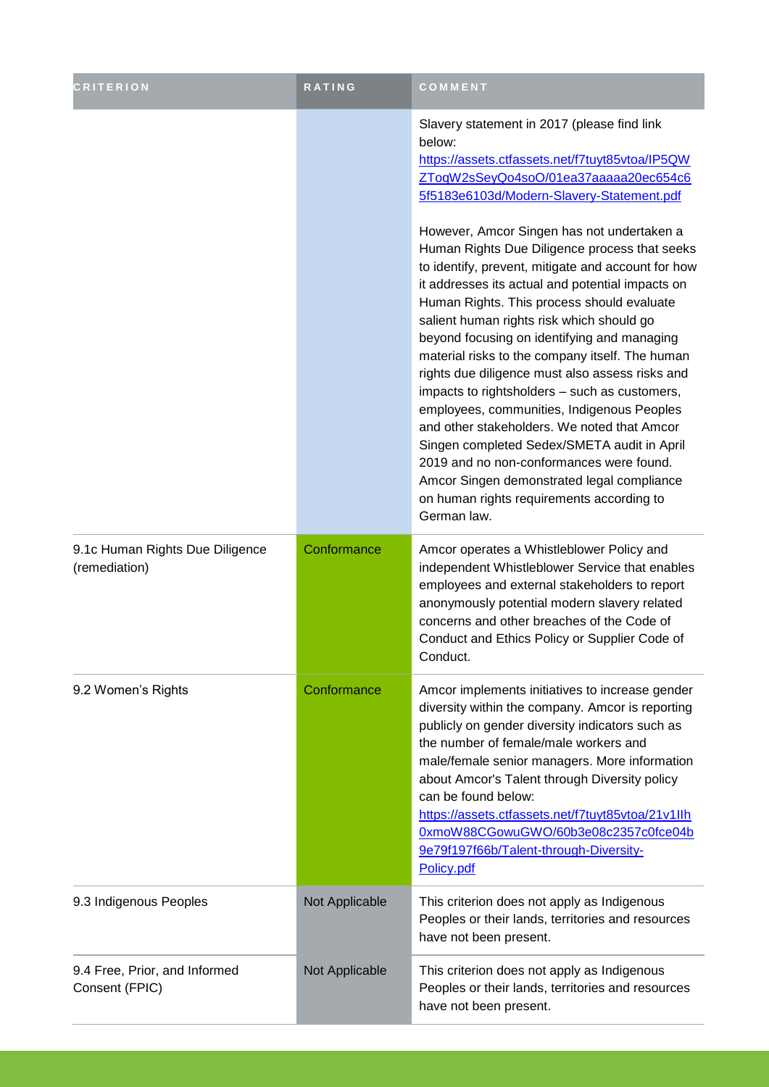| <b>CRITERION</b>                                 | RATING         | COMMENT                                                                                                                                                                                                                                                                                                                                                                                                                                                                                                                                                                                                                                                                                                                                                                                                                                                                                                                                                                                                     |
|--------------------------------------------------|----------------|-------------------------------------------------------------------------------------------------------------------------------------------------------------------------------------------------------------------------------------------------------------------------------------------------------------------------------------------------------------------------------------------------------------------------------------------------------------------------------------------------------------------------------------------------------------------------------------------------------------------------------------------------------------------------------------------------------------------------------------------------------------------------------------------------------------------------------------------------------------------------------------------------------------------------------------------------------------------------------------------------------------|
|                                                  |                | Slavery statement in 2017 (please find link<br>below:<br>https://assets.ctfassets.net/f7tuyt85vtoa/IP5QW<br>ZTogW2sSeyQo4soO/01ea37aaaaaa20ec654c6<br>5f5183e6103d/Modern-Slavery-Statement.pdf<br>However, Amcor Singen has not undertaken a<br>Human Rights Due Diligence process that seeks<br>to identify, prevent, mitigate and account for how<br>it addresses its actual and potential impacts on<br>Human Rights. This process should evaluate<br>salient human rights risk which should go<br>beyond focusing on identifying and managing<br>material risks to the company itself. The human<br>rights due diligence must also assess risks and<br>impacts to rightsholders - such as customers,<br>employees, communities, Indigenous Peoples<br>and other stakeholders. We noted that Amcor<br>Singen completed Sedex/SMETA audit in April<br>2019 and no non-conformances were found.<br>Amcor Singen demonstrated legal compliance<br>on human rights requirements according to<br>German law. |
| 9.1c Human Rights Due Diligence<br>(remediation) | Conformance    | Amcor operates a Whistleblower Policy and<br>independent Whistleblower Service that enables<br>employees and external stakeholders to report<br>anonymously potential modern slavery related<br>concerns and other breaches of the Code of<br>Conduct and Ethics Policy or Supplier Code of<br>Conduct.                                                                                                                                                                                                                                                                                                                                                                                                                                                                                                                                                                                                                                                                                                     |
| 9.2 Women's Rights                               | Conformance    | Amcor implements initiatives to increase gender<br>diversity within the company. Amcor is reporting<br>publicly on gender diversity indicators such as<br>the number of female/male workers and<br>male/female senior managers. More information<br>about Amcor's Talent through Diversity policy<br>can be found below:<br>https://assets.ctfassets.net/f7tuyt85vtoa/21v1llh<br>0xmoW88CGowuGWO/60b3e08c2357c0fce04b<br>9e79f197f66b/Talent-through-Diversity-<br>Policy.pdf                                                                                                                                                                                                                                                                                                                                                                                                                                                                                                                               |
| 9.3 Indigenous Peoples                           | Not Applicable | This criterion does not apply as Indigenous<br>Peoples or their lands, territories and resources<br>have not been present.                                                                                                                                                                                                                                                                                                                                                                                                                                                                                                                                                                                                                                                                                                                                                                                                                                                                                  |
| 9.4 Free, Prior, and Informed<br>Consent (FPIC)  | Not Applicable | This criterion does not apply as Indigenous<br>Peoples or their lands, territories and resources<br>have not been present.                                                                                                                                                                                                                                                                                                                                                                                                                                                                                                                                                                                                                                                                                                                                                                                                                                                                                  |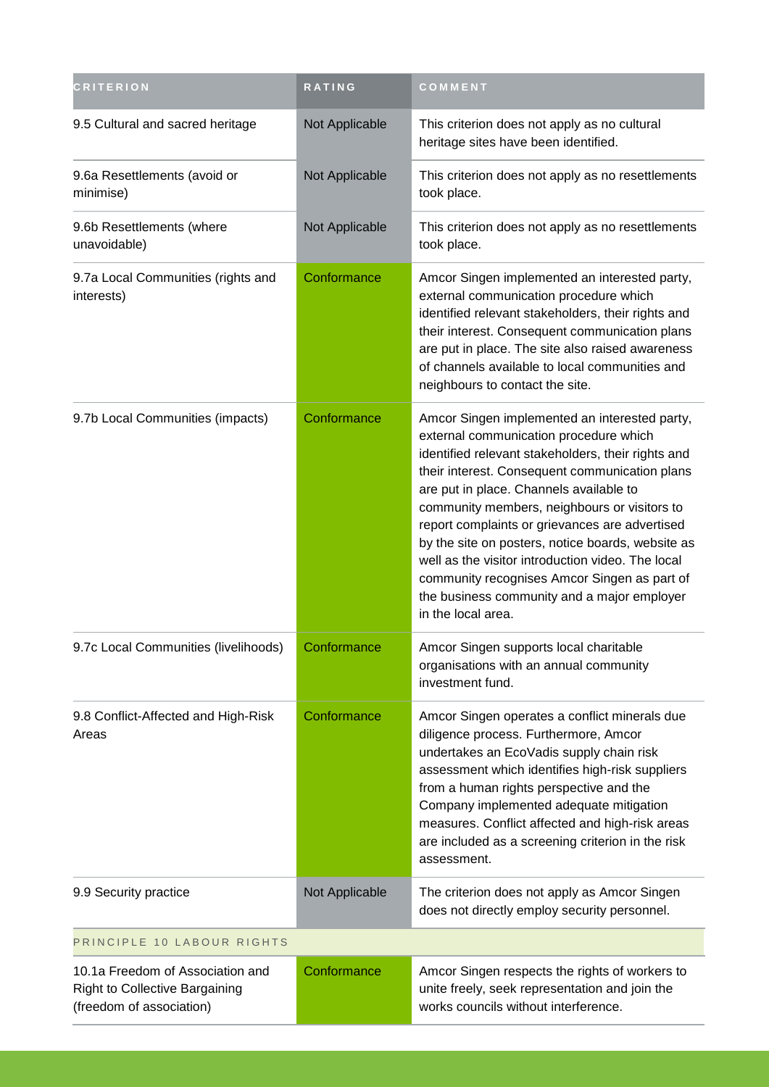| <b>CRITERION</b>                                                                                      | RATING         | COMMENT                                                                                                                                                                                                                                                                                                                                                                                                                                                                                                                                                                     |
|-------------------------------------------------------------------------------------------------------|----------------|-----------------------------------------------------------------------------------------------------------------------------------------------------------------------------------------------------------------------------------------------------------------------------------------------------------------------------------------------------------------------------------------------------------------------------------------------------------------------------------------------------------------------------------------------------------------------------|
| 9.5 Cultural and sacred heritage                                                                      | Not Applicable | This criterion does not apply as no cultural<br>heritage sites have been identified.                                                                                                                                                                                                                                                                                                                                                                                                                                                                                        |
| 9.6a Resettlements (avoid or<br>minimise)                                                             | Not Applicable | This criterion does not apply as no resettlements<br>took place.                                                                                                                                                                                                                                                                                                                                                                                                                                                                                                            |
| 9.6b Resettlements (where<br>unavoidable)                                                             | Not Applicable | This criterion does not apply as no resettlements<br>took place.                                                                                                                                                                                                                                                                                                                                                                                                                                                                                                            |
| 9.7a Local Communities (rights and<br>interests)                                                      | Conformance    | Amcor Singen implemented an interested party,<br>external communication procedure which<br>identified relevant stakeholders, their rights and<br>their interest. Consequent communication plans<br>are put in place. The site also raised awareness<br>of channels available to local communities and<br>neighbours to contact the site.                                                                                                                                                                                                                                    |
| 9.7b Local Communities (impacts)                                                                      | Conformance    | Amcor Singen implemented an interested party,<br>external communication procedure which<br>identified relevant stakeholders, their rights and<br>their interest. Consequent communication plans<br>are put in place. Channels available to<br>community members, neighbours or visitors to<br>report complaints or grievances are advertised<br>by the site on posters, notice boards, website as<br>well as the visitor introduction video. The local<br>community recognises Amcor Singen as part of<br>the business community and a major employer<br>in the local area. |
| 9.7c Local Communities (livelihoods)                                                                  | Conformance    | Amcor Singen supports local charitable<br>organisations with an annual community<br>investment fund.                                                                                                                                                                                                                                                                                                                                                                                                                                                                        |
| 9.8 Conflict-Affected and High-Risk<br>Areas                                                          | Conformance    | Amcor Singen operates a conflict minerals due<br>diligence process. Furthermore, Amcor<br>undertakes an EcoVadis supply chain risk<br>assessment which identifies high-risk suppliers<br>from a human rights perspective and the<br>Company implemented adequate mitigation<br>measures. Conflict affected and high-risk areas<br>are included as a screening criterion in the risk<br>assessment.                                                                                                                                                                          |
| 9.9 Security practice                                                                                 | Not Applicable | The criterion does not apply as Amcor Singen<br>does not directly employ security personnel.                                                                                                                                                                                                                                                                                                                                                                                                                                                                                |
| PRINCIPLE 10 LABOUR RIGHTS                                                                            |                |                                                                                                                                                                                                                                                                                                                                                                                                                                                                                                                                                                             |
| 10.1a Freedom of Association and<br><b>Right to Collective Bargaining</b><br>(freedom of association) | Conformance    | Amcor Singen respects the rights of workers to<br>unite freely, seek representation and join the<br>works councils without interference.                                                                                                                                                                                                                                                                                                                                                                                                                                    |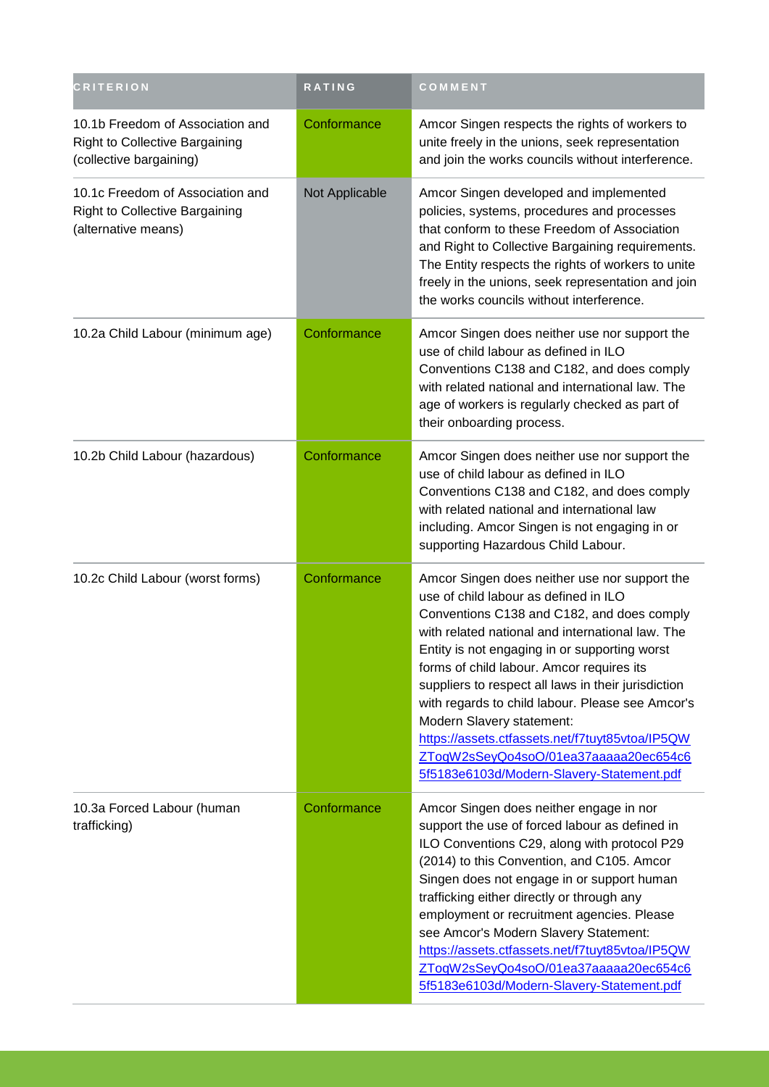| <b>CRITERION</b>                                                                                     | <b>RATING</b>  | COMMENT                                                                                                                                                                                                                                                                                                                                                                                                                                                                                                                                                                 |
|------------------------------------------------------------------------------------------------------|----------------|-------------------------------------------------------------------------------------------------------------------------------------------------------------------------------------------------------------------------------------------------------------------------------------------------------------------------------------------------------------------------------------------------------------------------------------------------------------------------------------------------------------------------------------------------------------------------|
| 10.1b Freedom of Association and<br><b>Right to Collective Bargaining</b><br>(collective bargaining) | Conformance    | Amcor Singen respects the rights of workers to<br>unite freely in the unions, seek representation<br>and join the works councils without interference.                                                                                                                                                                                                                                                                                                                                                                                                                  |
| 10.1c Freedom of Association and<br>Right to Collective Bargaining<br>(alternative means)            | Not Applicable | Amcor Singen developed and implemented<br>policies, systems, procedures and processes<br>that conform to these Freedom of Association<br>and Right to Collective Bargaining requirements.<br>The Entity respects the rights of workers to unite<br>freely in the unions, seek representation and join<br>the works councils without interference.                                                                                                                                                                                                                       |
| 10.2a Child Labour (minimum age)                                                                     | Conformance    | Amcor Singen does neither use nor support the<br>use of child labour as defined in ILO<br>Conventions C138 and C182, and does comply<br>with related national and international law. The<br>age of workers is regularly checked as part of<br>their onboarding process.                                                                                                                                                                                                                                                                                                 |
| 10.2b Child Labour (hazardous)                                                                       | Conformance    | Amcor Singen does neither use nor support the<br>use of child labour as defined in ILO<br>Conventions C138 and C182, and does comply<br>with related national and international law<br>including. Amcor Singen is not engaging in or<br>supporting Hazardous Child Labour.                                                                                                                                                                                                                                                                                              |
| 10.2c Child Labour (worst forms)                                                                     | Conformance    | Amcor Singen does neither use nor support the<br>use of child labour as defined in ILO<br>Conventions C138 and C182, and does comply<br>with related national and international law. The<br>Entity is not engaging in or supporting worst<br>forms of child labour. Amcor requires its<br>suppliers to respect all laws in their jurisdiction<br>with regards to child labour. Please see Amcor's<br>Modern Slavery statement:<br>https://assets.ctfassets.net/f7tuyt85vtoa/IP5QW<br>ZToqW2sSeyQo4soO/01ea37aaaaa20ec654c6<br>5f5183e6103d/Modern-Slavery-Statement.pdf |
| 10.3a Forced Labour (human<br>trafficking)                                                           | Conformance    | Amcor Singen does neither engage in nor<br>support the use of forced labour as defined in<br>ILO Conventions C29, along with protocol P29<br>(2014) to this Convention, and C105. Amcor<br>Singen does not engage in or support human<br>trafficking either directly or through any<br>employment or recruitment agencies. Please<br>see Amcor's Modern Slavery Statement:<br>https://assets.ctfassets.net/f7tuyt85vtoa/IP5QW<br>ZToqW2sSeyQo4soO/01ea37aaaaa20ec654c6<br>5f5183e6103d/Modern-Slavery-Statement.pdf                                                     |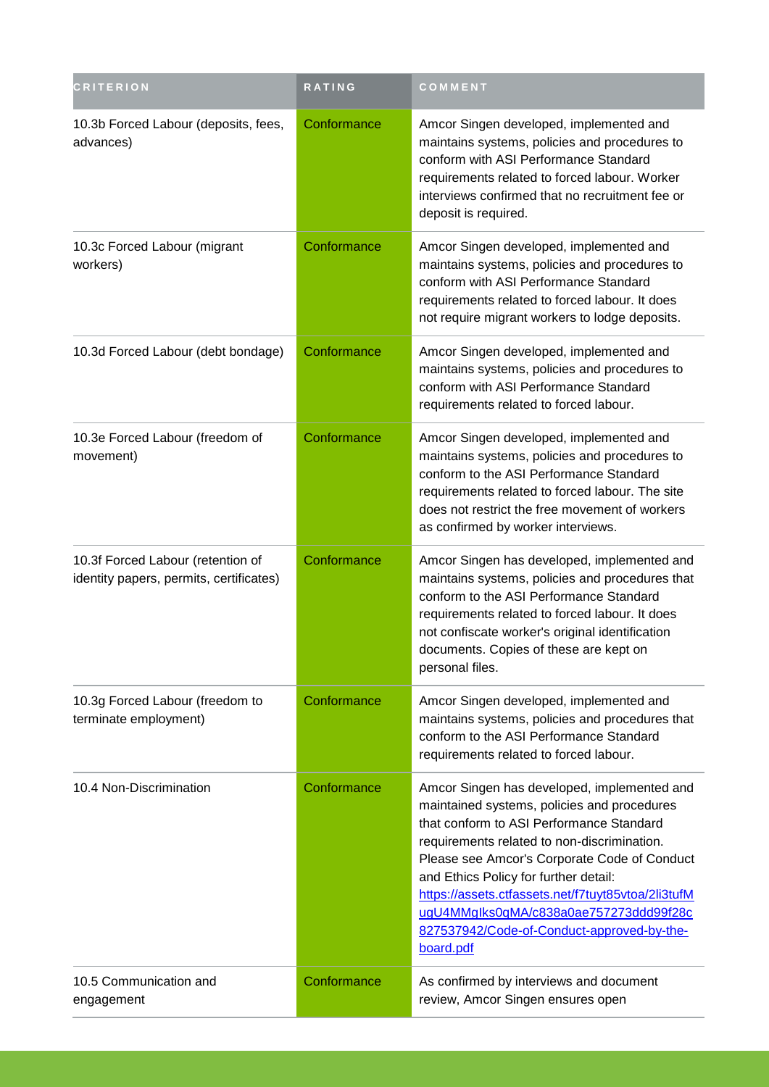| <b>CRITERION</b>                                                             | RATING      | COMMENT                                                                                                                                                                                                                                                                                                                                                                                                                                   |
|------------------------------------------------------------------------------|-------------|-------------------------------------------------------------------------------------------------------------------------------------------------------------------------------------------------------------------------------------------------------------------------------------------------------------------------------------------------------------------------------------------------------------------------------------------|
| 10.3b Forced Labour (deposits, fees,<br>advances)                            | Conformance | Amcor Singen developed, implemented and<br>maintains systems, policies and procedures to<br>conform with ASI Performance Standard<br>requirements related to forced labour. Worker<br>interviews confirmed that no recruitment fee or<br>deposit is required.                                                                                                                                                                             |
| 10.3c Forced Labour (migrant<br>workers)                                     | Conformance | Amcor Singen developed, implemented and<br>maintains systems, policies and procedures to<br>conform with ASI Performance Standard<br>requirements related to forced labour. It does<br>not require migrant workers to lodge deposits.                                                                                                                                                                                                     |
| 10.3d Forced Labour (debt bondage)                                           | Conformance | Amcor Singen developed, implemented and<br>maintains systems, policies and procedures to<br>conform with ASI Performance Standard<br>requirements related to forced labour.                                                                                                                                                                                                                                                               |
| 10.3e Forced Labour (freedom of<br>movement)                                 | Conformance | Amcor Singen developed, implemented and<br>maintains systems, policies and procedures to<br>conform to the ASI Performance Standard<br>requirements related to forced labour. The site<br>does not restrict the free movement of workers<br>as confirmed by worker interviews.                                                                                                                                                            |
| 10.3f Forced Labour (retention of<br>identity papers, permits, certificates) | Conformance | Amcor Singen has developed, implemented and<br>maintains systems, policies and procedures that<br>conform to the ASI Performance Standard<br>requirements related to forced labour. It does<br>not confiscate worker's original identification<br>documents. Copies of these are kept on<br>personal files.                                                                                                                               |
| 10.3g Forced Labour (freedom to<br>terminate employment)                     | Conformance | Amcor Singen developed, implemented and<br>maintains systems, policies and procedures that<br>conform to the ASI Performance Standard<br>requirements related to forced labour.                                                                                                                                                                                                                                                           |
| 10.4 Non-Discrimination                                                      | Conformance | Amcor Singen has developed, implemented and<br>maintained systems, policies and procedures<br>that conform to ASI Performance Standard<br>requirements related to non-discrimination.<br>Please see Amcor's Corporate Code of Conduct<br>and Ethics Policy for further detail:<br>https://assets.ctfassets.net/f7tuyt85vtoa/2li3tufM<br>ugU4MMglks0qMA/c838a0ae757273ddd99f28c<br>827537942/Code-of-Conduct-approved-by-the-<br>board.pdf |
| 10.5 Communication and<br>engagement                                         | Conformance | As confirmed by interviews and document<br>review, Amcor Singen ensures open                                                                                                                                                                                                                                                                                                                                                              |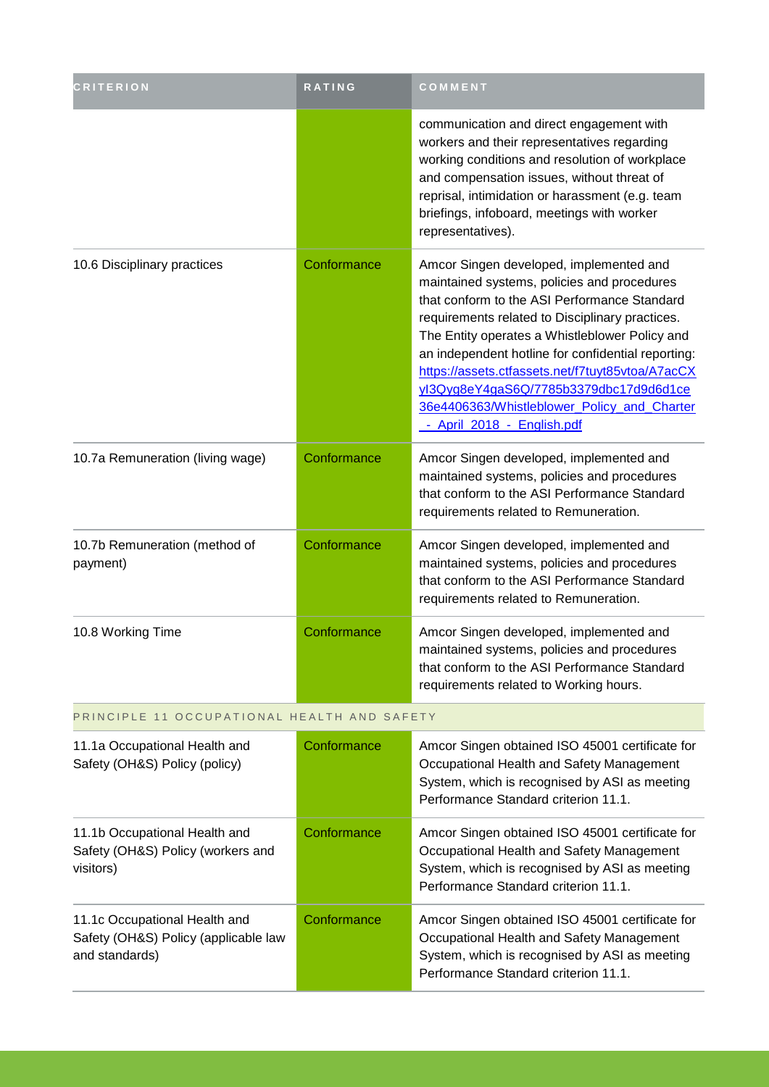| <b>CRITERION</b>                                                                        | RATING      | COMMENT                                                                                                                                                                                                                                                                                                                                                                                                                                                                      |  |
|-----------------------------------------------------------------------------------------|-------------|------------------------------------------------------------------------------------------------------------------------------------------------------------------------------------------------------------------------------------------------------------------------------------------------------------------------------------------------------------------------------------------------------------------------------------------------------------------------------|--|
|                                                                                         |             | communication and direct engagement with<br>workers and their representatives regarding<br>working conditions and resolution of workplace<br>and compensation issues, without threat of<br>reprisal, intimidation or harassment (e.g. team<br>briefings, infoboard, meetings with worker<br>representatives).                                                                                                                                                                |  |
| 10.6 Disciplinary practices                                                             | Conformance | Amcor Singen developed, implemented and<br>maintained systems, policies and procedures<br>that conform to the ASI Performance Standard<br>requirements related to Disciplinary practices.<br>The Entity operates a Whistleblower Policy and<br>an independent hotline for confidential reporting:<br>https://assets.ctfassets.net/f7tuyt85vtoa/A7acCX<br>yl3Qyg8eY4gaS6Q/7785b3379dbc17d9d6d1ce<br>36e4406363/Whistleblower_Policy_and_Charter<br>- April 2018 - English.pdf |  |
| 10.7a Remuneration (living wage)                                                        | Conformance | Amcor Singen developed, implemented and<br>maintained systems, policies and procedures<br>that conform to the ASI Performance Standard<br>requirements related to Remuneration.                                                                                                                                                                                                                                                                                              |  |
| 10.7b Remuneration (method of<br>payment)                                               | Conformance | Amcor Singen developed, implemented and<br>maintained systems, policies and procedures<br>that conform to the ASI Performance Standard<br>requirements related to Remuneration.                                                                                                                                                                                                                                                                                              |  |
| 10.8 Working Time                                                                       | Conformance | Amcor Singen developed, implemented and<br>maintained systems, policies and procedures<br>that conform to the ASI Performance Standard<br>requirements related to Working hours.                                                                                                                                                                                                                                                                                             |  |
| PRINCIPLE 11 OCCUPATIONAL HEALTH AND SAFETY                                             |             |                                                                                                                                                                                                                                                                                                                                                                                                                                                                              |  |
| 11.1a Occupational Health and<br>Safety (OH&S) Policy (policy)                          | Conformance | Amcor Singen obtained ISO 45001 certificate for<br>Occupational Health and Safety Management<br>System, which is recognised by ASI as meeting<br>Performance Standard criterion 11.1.                                                                                                                                                                                                                                                                                        |  |
| 11.1b Occupational Health and<br>Safety (OH&S) Policy (workers and<br>visitors)         | Conformance | Amcor Singen obtained ISO 45001 certificate for<br>Occupational Health and Safety Management<br>System, which is recognised by ASI as meeting<br>Performance Standard criterion 11.1.                                                                                                                                                                                                                                                                                        |  |
| 11.1c Occupational Health and<br>Safety (OH&S) Policy (applicable law<br>and standards) | Conformance | Amcor Singen obtained ISO 45001 certificate for<br>Occupational Health and Safety Management<br>System, which is recognised by ASI as meeting<br>Performance Standard criterion 11.1.                                                                                                                                                                                                                                                                                        |  |